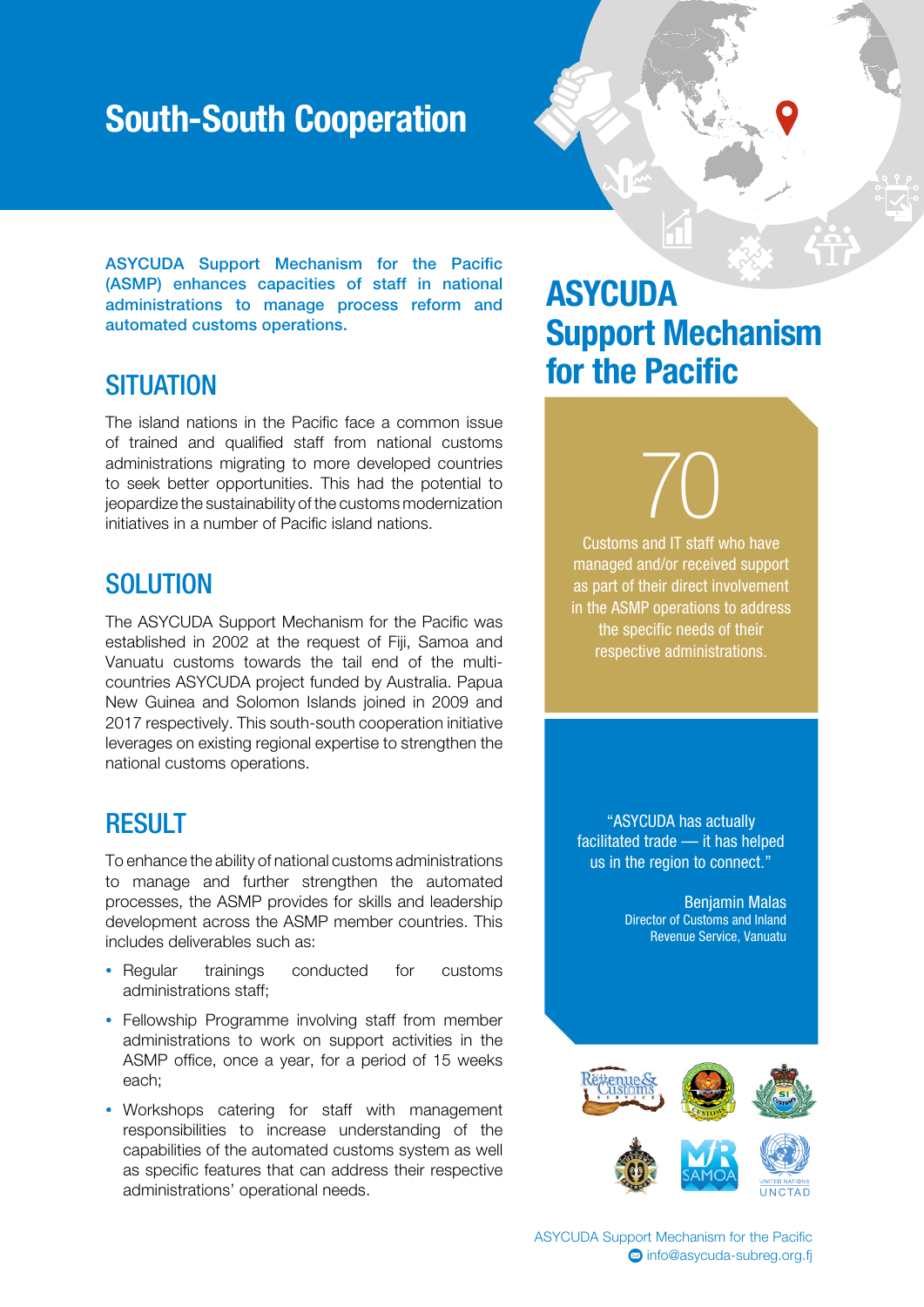## South-South Cooperation



ASYCUDA Support Mechanism for the Pacific (ASMP) enhances capacities of staff in national administrations to manage process reform and automated customs operations.

#### **SITUATION**

The island nations in the Pacific face a common issue of trained and qualified staff from national customs administrations migrating to more developed countries to seek better opportunities. This had the potential to jeopardize the sustainability of the customs modernization initiatives in a number of Pacific island nations.

#### **SOLUTION**

The ASYCUDA Support Mechanism for the Pacific was established in 2002 at the request of Fiji, Samoa and Vanuatu customs towards the tail end of the multicountries ASYCUDA project funded by Australia. Papua New Guinea and Solomon Islands joined in 2009 and 2017 respectively. This south-south cooperation initiative leverages on existing regional expertise to strengthen the national customs operations.

#### **RESULT**

To enhance the ability of national customs administrations to manage and further strengthen the automated processes, the ASMP provides for skills and leadership development across the ASMP member countries. This includes deliverables such as:

- Regular trainings conducted for customs administrations staff;
- Fellowship Programme involving staff from member administrations to work on support activities in the ASMP office, once a year, for a period of 15 weeks each;
- Workshops catering for staff with management responsibilities to increase understanding of the capabilities of the automated customs system as well as specific features that can address their respective administrations' operational needs.

### **ASYCUDA** Support Mechanism for the Pacific

70 Customs and IT staff who have managed and/or received support as part of their direct involvement in the ASMP operations to address the specific needs of their respective administrations.

"ASYCUDA has actually facilitated trade — it has helped us in the region to connect."

> Benjamin Malas Director of Customs and Inland Revenue Service, Vanuatu



ASYCUDA Support Mechanism for the Pacific <sup>2</sup>info@asycuda-subreg.org.fi